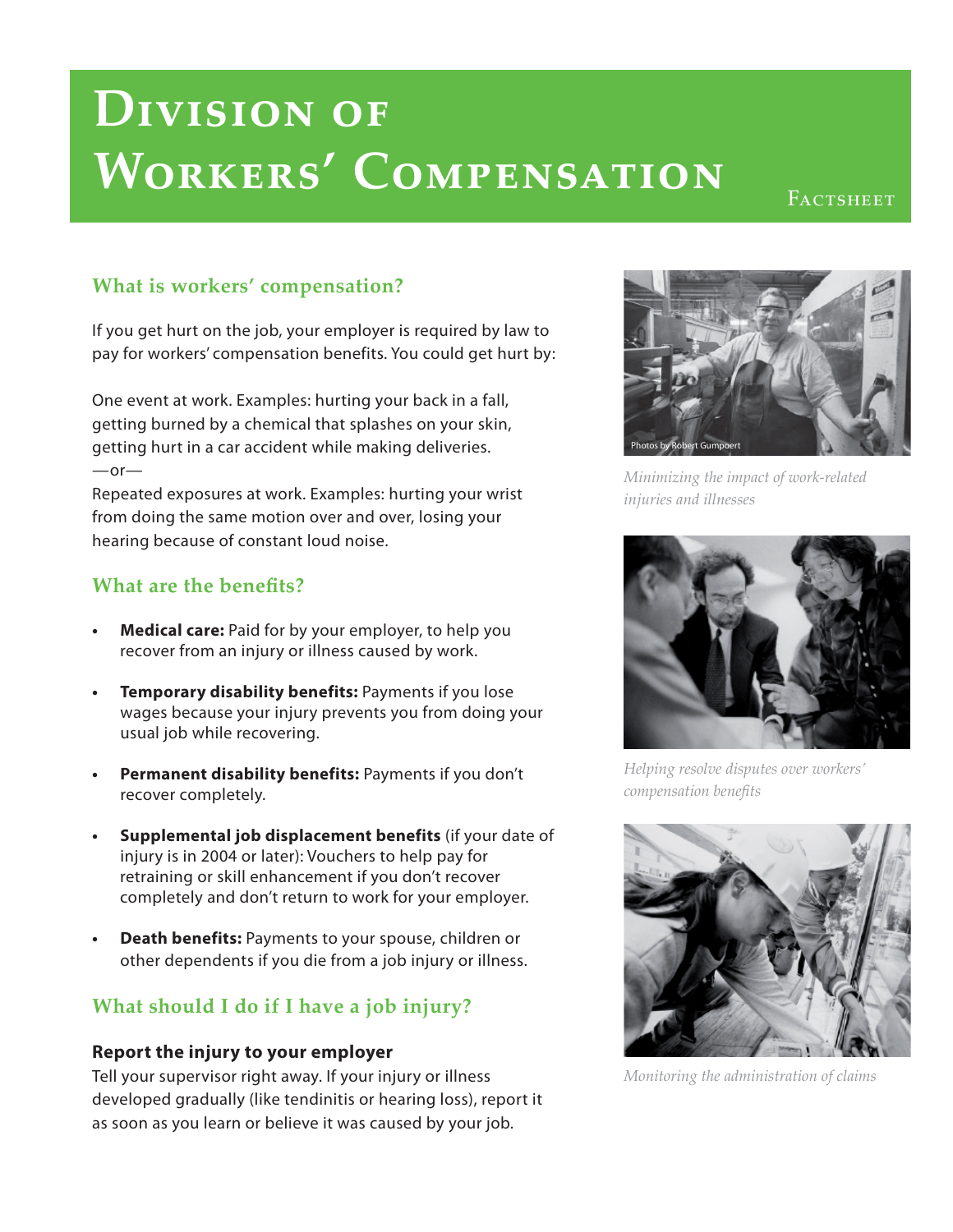# **Division of Workers' Compensation**

FACTSHEET

## **What is workers' compensation?**

If you get hurt on the job, your employer is required by law to pay for workers' compensation benefits. You could get hurt by:

One event at work. Examples: hurting your back in a fall, getting burned by a chemical that splashes on your skin, getting hurt in a car accident while making deliveries.  $-$ or $-$ 

Repeated exposures at work. Examples: hurting your wrist from doing the same motion over and over, losing your hearing because of constant loud noise.

### **What are the benefits?**

- **Medical care:** Paid for by your employer, to help you recover from an injury or illness caused by work.
- **Temporary disability benefits:** Payments if you lose wages because your injury prevents you from doing your usual job while recovering.
- **Permanent disability benefits:** Payments if you don't recover completely.
- **Supplemental job displacement benefits** (if your date of injury is in 2004 or later): Vouchers to help pay for retraining or skill enhancement if you don't recover completely and don't return to work for your employer.
- **Death benefits:** Payments to your spouse, children or other dependents if you die from a job injury or illness.

# **What should I do if I have a job injury?**

#### **Report the injury to your employer**

Tell your supervisor right away. If your injury or illness developed gradually (like tendinitis or hearing loss), report it as soon as you learn or believe it was caused by your job.



*Minimizing the impact of work-related injuries and illnesses*



*Helping resolve disputes over workers' compensation benefits* 



*Monitoring the administration of claims*